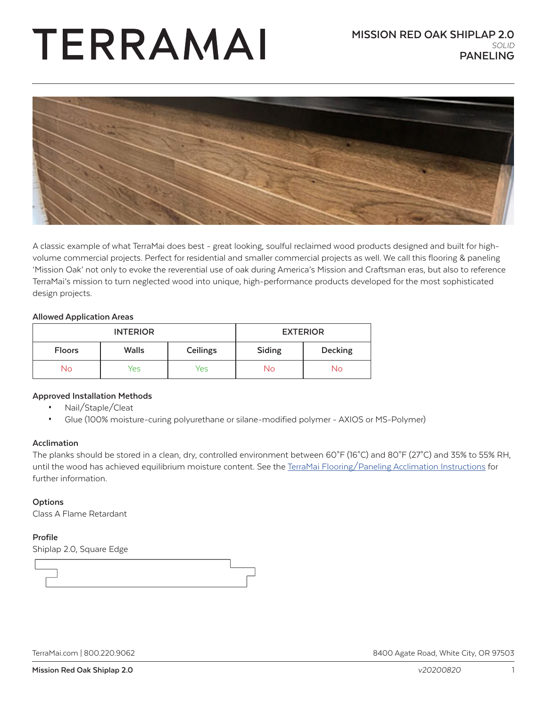# TERRAMAI



A classic example of what TerraMai does best - great looking, soulful reclaimed wood products designed and built for highvolume commercial projects. Perfect for residential and smaller commercial projects as well. We call this flooring & paneling 'Mission Oak' not only to evoke the reverential use of oak during America's Mission and Craftsman eras, but also to reference TerraMai's mission to turn neglected wood into unique, high-performance products developed for the most sophisticated design projects.

#### **Allowed Application Areas**

| <b>INTERIOR</b> |              | <b>EXTERIOR</b> |        |                |
|-----------------|--------------|-----------------|--------|----------------|
| <b>Floors</b>   | <b>Walls</b> | Ceilings        | Siding | <b>Decking</b> |
| No              | Yes          | Yes             | Nο     | No             |

#### **Approved Installation Methods**

- Nail/Staple/Cleat
- Glue (100% moisture-curing polyurethane or silane-modified polymer AXIOS or MS-Polymer)

#### **Acclimation**

The planks should be stored in a clean, dry, controlled environment between 60°F (16°C) and 80°F (27°C) and 35% to 55% RH, until the wood has achieved equilibrium moisture content. See the [TerraMai Flooring/Paneling Acclimation Instructions](https://www.terramai.com/userfiles/pdf/Acclimation%201.5.17.pdf) for further information.

#### **Options**

Class A Flame Retardant

#### **Profile**

Shiplap 2.0, Square Edge

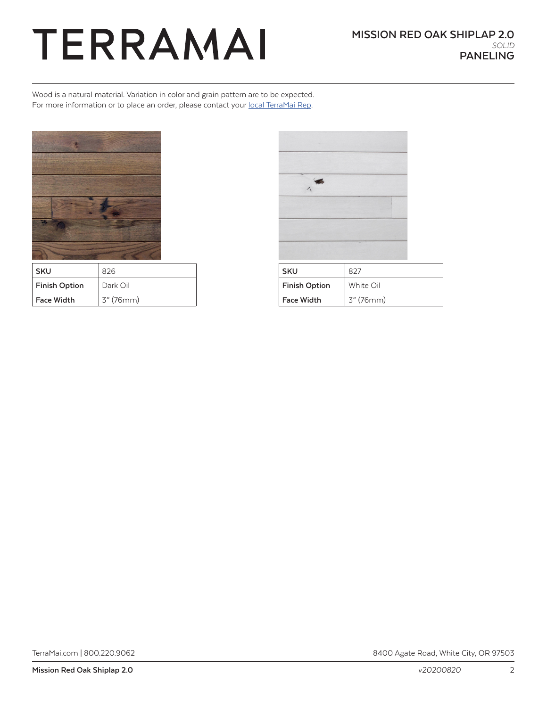### TERRAMAI

Wood is a natural material. Variation in color and grain pattern are to be expected. For more information or to place an order, please contact your [local TerraMai Rep](https://www.terramai.com/team-terramai).



| <b>SKU</b>           | 826       |  |
|----------------------|-----------|--|
| <b>Finish Option</b> | Dark Oil  |  |
| <b>Face Width</b>    | 3" (76mm) |  |

| SKU                  | 827       |
|----------------------|-----------|
| <b>Finish Option</b> | White Oil |
| <b>Face Width</b>    | 3" (76mm) |

[TerraMai.com](http://www.terramai.com) | 800.220.9062 8400 Agate Road, White City, OR 97503